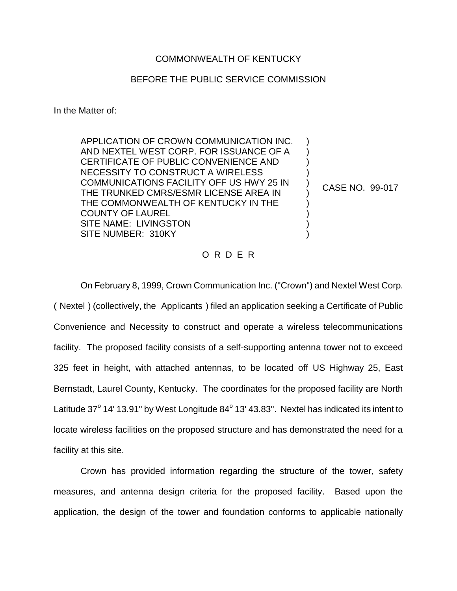## COMMONWEALTH OF KENTUCKY

## BEFORE THE PUBLIC SERVICE COMMISSION

In the Matter of:

APPLICATION OF CROWN COMMUNICATION INC. AND NEXTEL WEST CORP. FOR ISSUANCE OF A CERTIFICATE OF PUBLIC CONVENIENCE AND NECESSITY TO CONSTRUCT A WIRELESS COMMUNICATIONS FACILITY OFF US HWY 25 IN THE TRUNKED CMRS/ESMR LICENSE AREA IN THE COMMONWEALTH OF KENTUCKY IN THE COUNTY OF LAUREL SITE NAME: LIVINGSTON SITE NUMBER: 310KY ) ) ) ) ) ) ) ) ) )

CASE NO. 99-017

## O R D E R

On February 8, 1999, Crown Communication Inc. ("Crown") and Nextel West Corp. ( Nextel ) (collectively, the Applicants ) filed an application seeking a Certificate of Public Convenience and Necessity to construct and operate a wireless telecommunications facility. The proposed facility consists of a self-supporting antenna tower not to exceed 325 feet in height, with attached antennas, to be located off US Highway 25, East Bernstadt, Laurel County, Kentucky. The coordinates for the proposed facility are North Latitude 37 $^{\circ}$  14' 13.91" by West Longitude 84 $^{\circ}$  13' 43.83". Nextel has indicated its intent to locate wireless facilities on the proposed structure and has demonstrated the need for a facility at this site.

Crown has provided information regarding the structure of the tower, safety measures, and antenna design criteria for the proposed facility. Based upon the application, the design of the tower and foundation conforms to applicable nationally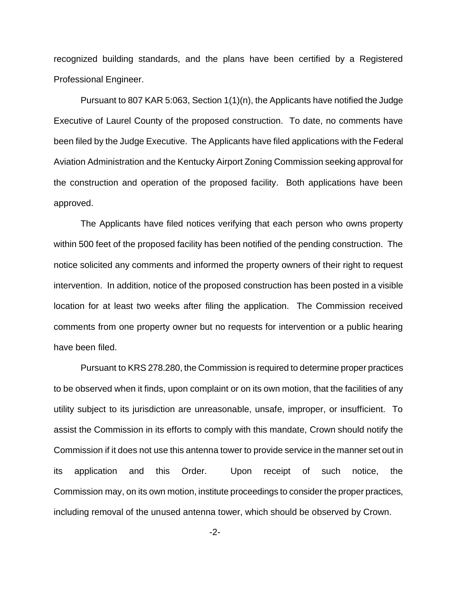recognized building standards, and the plans have been certified by a Registered Professional Engineer.

Pursuant to 807 KAR 5:063, Section 1(1)(n), the Applicants have notified the Judge Executive of Laurel County of the proposed construction. To date, no comments have been filed by the Judge Executive. The Applicants have filed applications with the Federal Aviation Administration and the Kentucky Airport Zoning Commission seeking approval for the construction and operation of the proposed facility. Both applications have been approved.

The Applicants have filed notices verifying that each person who owns property within 500 feet of the proposed facility has been notified of the pending construction. The notice solicited any comments and informed the property owners of their right to request intervention. In addition, notice of the proposed construction has been posted in a visible location for at least two weeks after filing the application. The Commission received comments from one property owner but no requests for intervention or a public hearing have been filed.

Pursuant to KRS 278.280, the Commission is required to determine proper practices to be observed when it finds, upon complaint or on its own motion, that the facilities of any utility subject to its jurisdiction are unreasonable, unsafe, improper, or insufficient. To assist the Commission in its efforts to comply with this mandate, Crown should notify the Commission if it does not use this antenna tower to provide service in the manner set out in its application and this Order. Upon receipt of such notice, the Commission may, on its own motion, institute proceedings to consider the proper practices, including removal of the unused antenna tower, which should be observed by Crown.

-2-